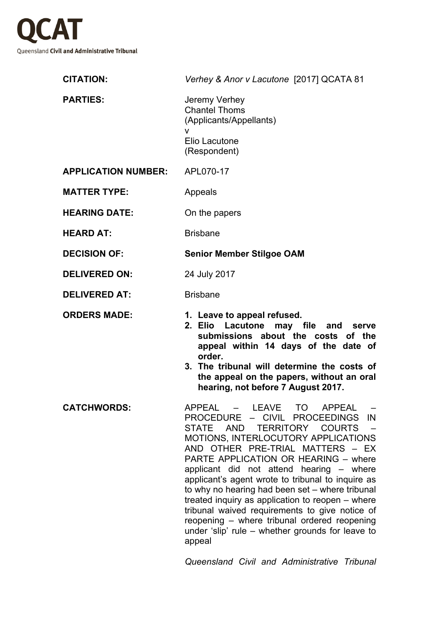

| <b>CITATION:</b>           | Verhey & Anor v Lacutone [2017] QCATA 81                                                                                                                                                                                                                                                                                                                                                                                                                                                                                                                                                                                                         |
|----------------------------|--------------------------------------------------------------------------------------------------------------------------------------------------------------------------------------------------------------------------------------------------------------------------------------------------------------------------------------------------------------------------------------------------------------------------------------------------------------------------------------------------------------------------------------------------------------------------------------------------------------------------------------------------|
| <b>PARTIES:</b>            | Jeremy Verhey<br><b>Chantel Thoms</b><br>(Applicants/Appellants)<br>v<br>Elio Lacutone<br>(Respondent)                                                                                                                                                                                                                                                                                                                                                                                                                                                                                                                                           |
| <b>APPLICATION NUMBER:</b> | APL070-17                                                                                                                                                                                                                                                                                                                                                                                                                                                                                                                                                                                                                                        |
| <b>MATTER TYPE:</b>        | Appeals                                                                                                                                                                                                                                                                                                                                                                                                                                                                                                                                                                                                                                          |
| <b>HEARING DATE:</b>       | On the papers                                                                                                                                                                                                                                                                                                                                                                                                                                                                                                                                                                                                                                    |
| <b>HEARD AT:</b>           | <b>Brisbane</b>                                                                                                                                                                                                                                                                                                                                                                                                                                                                                                                                                                                                                                  |
| <b>DECISION OF:</b>        | <b>Senior Member Stilgoe OAM</b>                                                                                                                                                                                                                                                                                                                                                                                                                                                                                                                                                                                                                 |
| <b>DELIVERED ON:</b>       | 24 July 2017                                                                                                                                                                                                                                                                                                                                                                                                                                                                                                                                                                                                                                     |
| <b>DELIVERED AT:</b>       | <b>Brisbane</b>                                                                                                                                                                                                                                                                                                                                                                                                                                                                                                                                                                                                                                  |
| <b>ORDERS MADE:</b>        | 1. Leave to appeal refused.<br>2. Elio Lacutone may file and serve<br>submissions about the costs of the<br>appeal within 14 days of the date of<br>order.<br>3. The tribunal will determine the costs of<br>the appeal on the papers, without an oral<br>hearing, not before 7 August 2017.                                                                                                                                                                                                                                                                                                                                                     |
| <b>CATCHWORDS:</b>         | <b>APPEAL</b><br>LEAVE<br>TO<br><b>APPEAL</b><br><b>CIVIL</b><br><b>PROCEDURE</b><br><b>PROCEEDINGS</b><br>IN<br>$\sim$<br>STATE AND TERRITORY COURTS<br>MOTIONS, INTERLOCUTORY APPLICATIONS<br>AND OTHER PRE-TRIAL MATTERS - EX<br>PARTE APPLICATION OR HEARING - where<br>applicant did not attend hearing - where<br>applicant's agent wrote to tribunal to inquire as<br>to why no hearing had been set – where tribunal<br>treated inquiry as application to reopen – where<br>tribunal waived requirements to give notice of<br>reopening - where tribunal ordered reopening<br>under 'slip' rule – whether grounds for leave to<br>appeal |

*Queensland Civil and Administrative Tribunal*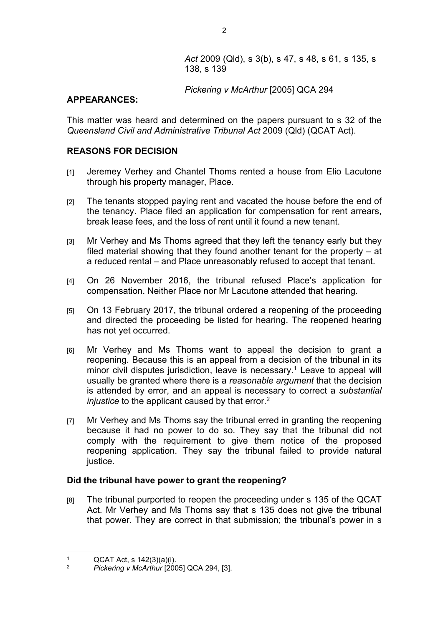## *Pickering v McArthur* [2005] QCA 294

### **APPEARANCES:**

This matter was heard and determined on the papers pursuant to s 32 of the *Queensland Civil and Administrative Tribunal Act* 2009 (Qld) (QCAT Act).

# **REASONS FOR DECISION**

- [1] Jeremey Verhey and Chantel Thoms rented a house from Elio Lacutone through his property manager, Place.
- [2] The tenants stopped paying rent and vacated the house before the end of the tenancy. Place filed an application for compensation for rent arrears, break lease fees, and the loss of rent until it found a new tenant.
- [3] Mr Verhey and Ms Thoms agreed that they left the tenancy early but they filed material showing that they found another tenant for the property – at a reduced rental – and Place unreasonably refused to accept that tenant.
- [4] On 26 November 2016, the tribunal refused Place's application for compensation. Neither Place nor Mr Lacutone attended that hearing.
- [5] On 13 February 2017, the tribunal ordered a reopening of the proceeding and directed the proceeding be listed for hearing. The reopened hearing has not yet occurred.
- [6] Mr Verhey and Ms Thoms want to appeal the decision to grant a reopening. Because this is an appeal from a decision of the tribunal in its minor civil disputes jurisdiction, leave is necessary.<sup>1</sup> Leave to appeal will usually be granted where there is a *reasonable argument* that the decision is attended by error, and an appeal is necessary to correct a *substantial injustice* to the applicant caused by that error.<sup>2</sup>
- [7] Mr Verhey and Ms Thoms say the tribunal erred in granting the reopening because it had no power to do so. They say that the tribunal did not comply with the requirement to give them notice of the proposed reopening application. They say the tribunal failed to provide natural justice.

### **Did the tribunal have power to grant the reopening?**

[8] The tribunal purported to reopen the proceeding under s 135 of the QCAT Act. Mr Verhey and Ms Thoms say that s 135 does not give the tribunal that power. They are correct in that submission; the tribunal's power in s

<sup>1</sup>  $QCAT$  Act, s  $142(3)(a)(i)$ .<br>2 Pickering v McArthur [200

<sup>2</sup> *Pickering v McArthur* [2005] QCA 294, [3].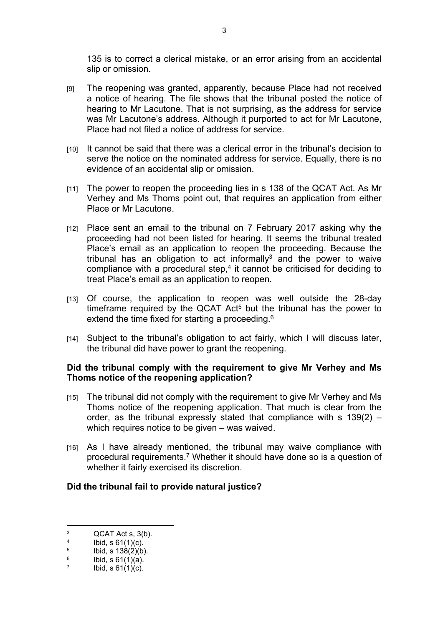135 is to correct a clerical mistake, or an error arising from an accidental slip or omission.

- [9] The reopening was granted, apparently, because Place had not received a notice of hearing. The file shows that the tribunal posted the notice of hearing to Mr Lacutone. That is not surprising, as the address for service was Mr Lacutone's address. Although it purported to act for Mr Lacutone, Place had not filed a notice of address for service.
- [10] It cannot be said that there was a clerical error in the tribunal's decision to serve the notice on the nominated address for service. Equally, there is no evidence of an accidental slip or omission.
- [11] The power to reopen the proceeding lies in s 138 of the QCAT Act. As Mr Verhey and Ms Thoms point out, that requires an application from either Place or Mr Lacutone.
- [12] Place sent an email to the tribunal on 7 February 2017 asking why the proceeding had not been listed for hearing. It seems the tribunal treated Place's email as an application to reopen the proceeding. Because the tribunal has an obligation to act informally<sup>3</sup> and the power to waive compliance with a procedural step, $4$  it cannot be criticised for deciding to treat Place's email as an application to reopen.
- [13] Of course, the application to reopen was well outside the 28-day timeframe required by the QCAT Act<sup>5</sup> but the tribunal has the power to extend the time fixed for starting a proceeding.<sup>6</sup>
- [14] Subject to the tribunal's obligation to act fairly, which I will discuss later, the tribunal did have power to grant the reopening.

#### **Did the tribunal comply with the requirement to give Mr Verhey and Ms Thoms notice of the reopening application?**

- [15] The tribunal did not comply with the requirement to give Mr Verhey and Ms Thoms notice of the reopening application. That much is clear from the order, as the tribunal expressly stated that compliance with s 139(2) – which requires notice to be given – was waived.
- [16] As I have already mentioned, the tribunal may waive compliance with procedural requirements.<sup>7</sup> Whether it should have done so is a question of whether it fairly exercised its discretion.

#### **Did the tribunal fail to provide natural justice?**

<sup>3</sup> QCAT Act s, 3(b). 4

Ibid, s 61(1)(c). 5

Ibid, s 138(2)(b). 6

Ibid, s 61(1)(a). 7

Ibid,  $s \ 61(1)(c)$ .